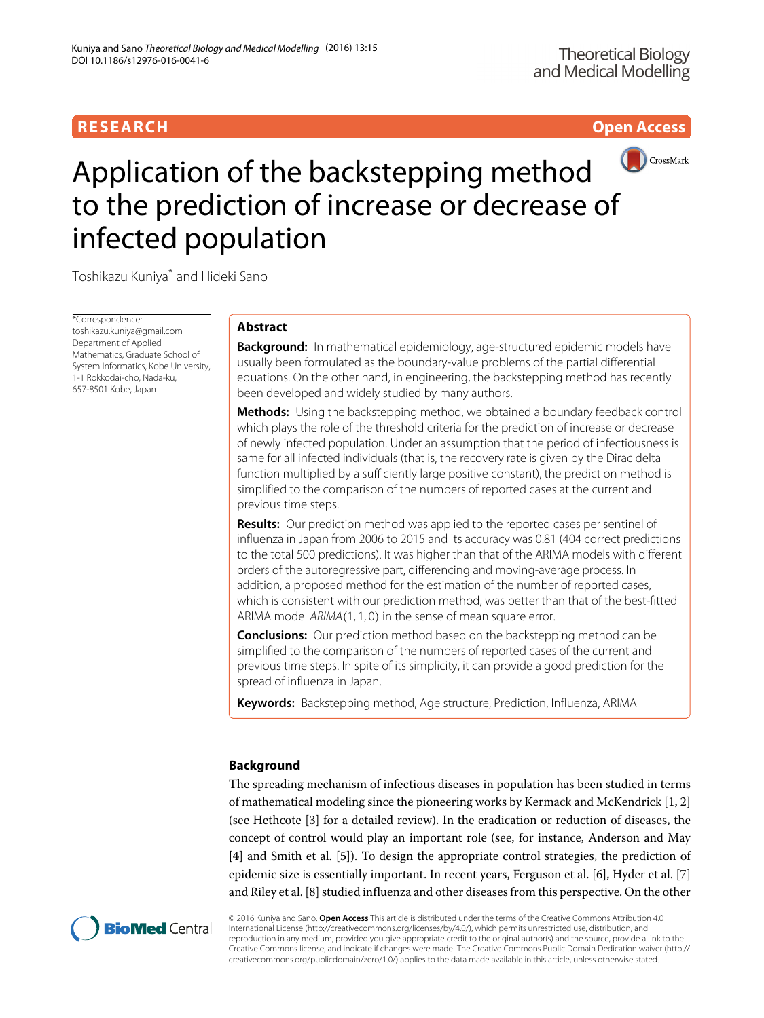# **RESEARCH Open Access**



# Application of the backstepping method to the prediction of increase or decrease of infected population

Toshikazu Kuniya\* and Hideki Sano

\*Correspondence: [toshikazu.kuniya@gmail.com](mailto: toshikazu.kuniya@gmail.com) Department of Applied Mathematics, Graduate School of System Informatics, Kobe University, 1-1 Rokkodai-cho, Nada-ku, 657-8501 Kobe, Japan

# **Abstract**

**Background:** In mathematical epidemiology, age-structured epidemic models have usually been formulated as the boundary-value problems of the partial differential equations. On the other hand, in engineering, the backstepping method has recently been developed and widely studied by many authors.

**Methods:** Using the backstepping method, we obtained a boundary feedback control which plays the role of the threshold criteria for the prediction of increase or decrease of newly infected population. Under an assumption that the period of infectiousness is same for all infected individuals (that is, the recovery rate is given by the Dirac delta function multiplied by a sufficiently large positive constant), the prediction method is simplified to the comparison of the numbers of reported cases at the current and previous time steps.

**Results:** Our prediction method was applied to the reported cases per sentinel of influenza in Japan from 2006 to 2015 and its accuracy was 0.81 (404 correct predictions to the total 500 predictions). It was higher than that of the ARIMA models with different orders of the autoregressive part, differencing and moving-average process. In addition, a proposed method for the estimation of the number of reported cases, which is consistent with our prediction method, was better than that of the best-fitted ARIMA model ARIMA(1, 1, 0) in the sense of mean square error.

**Conclusions:** Our prediction method based on the backstepping method can be simplified to the comparison of the numbers of reported cases of the current and previous time steps. In spite of its simplicity, it can provide a good prediction for the spread of influenza in Japan.

**Keywords:** Backstepping method, Age structure, Prediction, Influenza, ARIMA

# **Background**

The spreading mechanism of infectious diseases in population has been studied in terms of mathematical modeling since the pioneering works by Kermack and McKendrick [\[1,](#page-9-0) [2\]](#page-9-1) (see Hethcote [\[3\]](#page-9-2) for a detailed review). In the eradication or reduction of diseases, the concept of control would play an important role (see, for instance, Anderson and May [\[4\]](#page-9-3) and Smith et al. [\[5\]](#page-9-4)). To design the appropriate control strategies, the prediction of epidemic size is essentially important. In recent years, Ferguson et al. [\[6\]](#page-9-5), Hyder et al. [\[7\]](#page-9-6) and Riley et al. [\[8\]](#page-9-7) studied influenza and other diseases from this perspective. On the other



© 2016 Kuniya and Sano. **Open Access** This article is distributed under the terms of the Creative Commons Attribution 4.0 International License [\(http://creativecommons.org/licenses/by/4.0/\)](http://creativecommons.org/licenses/by/4.0/), which permits unrestricted use, distribution, and reproduction in any medium, provided you give appropriate credit to the original author(s) and the source, provide a link to the Creative Commons license, and indicate if changes were made. The Creative Commons Public Domain Dedication waiver [\(http://](http://creativecommons.org/publicdomain/zero/1.0/) [creativecommons.org/publicdomain/zero/1.0/\)](http://creativecommons.org/publicdomain/zero/1.0/) applies to the data made available in this article, unless otherwise stated.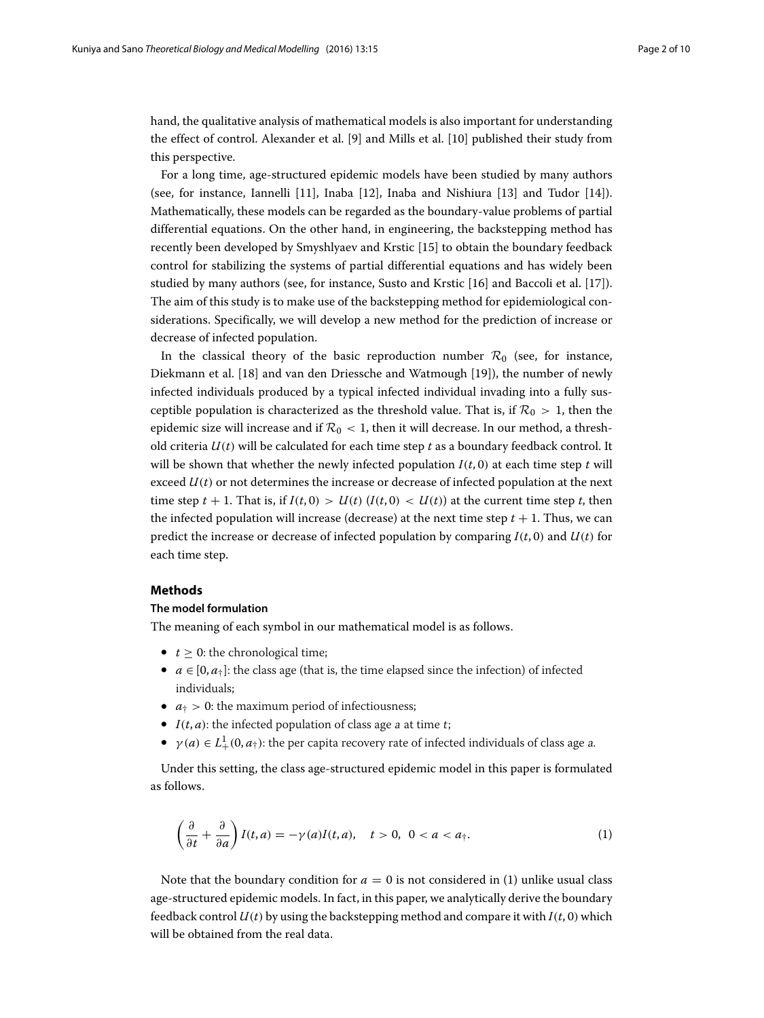hand, the qualitative analysis of mathematical models is also important for understanding the effect of control. Alexander et al. [\[9\]](#page-9-8) and Mills et al. [\[10\]](#page-9-9) published their study from this perspective.

For a long time, age-structured epidemic models have been studied by many authors (see, for instance, Iannelli [\[11\]](#page-9-10), Inaba [\[12\]](#page-9-11), Inaba and Nishiura [\[13\]](#page-9-12) and Tudor [\[14\]](#page-9-13)). Mathematically, these models can be regarded as the boundary-value problems of partial differential equations. On the other hand, in engineering, the backstepping method has recently been developed by Smyshlyaev and Krstic [\[15\]](#page-9-14) to obtain the boundary feedback control for stabilizing the systems of partial differential equations and has widely been studied by many authors (see, for instance, Susto and Krstic [\[16\]](#page-9-15) and Baccoli et al. [\[17\]](#page-9-16)). The aim of this study is to make use of the backstepping method for epidemiological considerations. Specifically, we will develop a new method for the prediction of increase or decrease of infected population.

In the classical theory of the basic reproduction number  $\mathcal{R}_0$  (see, for instance, Diekmann et al. [\[18\]](#page-9-17) and van den Driessche and Watmough [\[19\]](#page-9-18)), the number of newly infected individuals produced by a typical infected individual invading into a fully susceptible population is characterized as the threshold value. That is, if  $\mathcal{R}_0 > 1$ , then the epidemic size will increase and if  $\mathcal{R}_0$  < 1, then it will decrease. In our method, a threshold criteria *U*(*t*) will be calculated for each time step *t* as a boundary feedback control. It will be shown that whether the newly infected population  $I(t, 0)$  at each time step *t* will exceed  $U(t)$  or not determines the increase or decrease of infected population at the next time step  $t + 1$ . That is, if  $I(t, 0) > U(t)$   $(I(t, 0) < U(t))$  at the current time step *t*, then the infected population will increase (decrease) at the next time step  $t + 1$ . Thus, we can predict the increase or decrease of infected population by comparing *I*(*t*, 0) and *U*(*t*) for each time step.

#### **Methods**

### **The model formulation**

The meaning of each symbol in our mathematical model is as follows.

- $t \geq 0$ : the chronological time;
- $a \in [0, a_{\dagger}]$ : the class age (that is, the time elapsed since the infection) of infected individuals;
- $a_{\dagger} > 0$ : the maximum period of infectiousness;
- $I(t, a)$ : the infected population of class age a at time  $t$ ;
- $\gamma(a) \in L^1_+(0, a_{\dagger})$ : the per capita recovery rate of infected individuals of class age a.

Under this setting, the class age-structured epidemic model in this paper is formulated as follows.

<span id="page-1-0"></span>
$$
\left(\frac{\partial}{\partial t} + \frac{\partial}{\partial a}\right)I(t, a) = -\gamma(a)I(t, a), \quad t > 0, \ 0 < a < a_{\dagger}.
$$
 (1)

Note that the boundary condition for  $a = 0$  is not considered in [\(1\)](#page-1-0) unlike usual class age-structured epidemic models. In fact, in this paper, we analytically derive the boundary feedback control  $U(t)$  by using the backstepping method and compare it with  $I(t, 0)$  which will be obtained from the real data.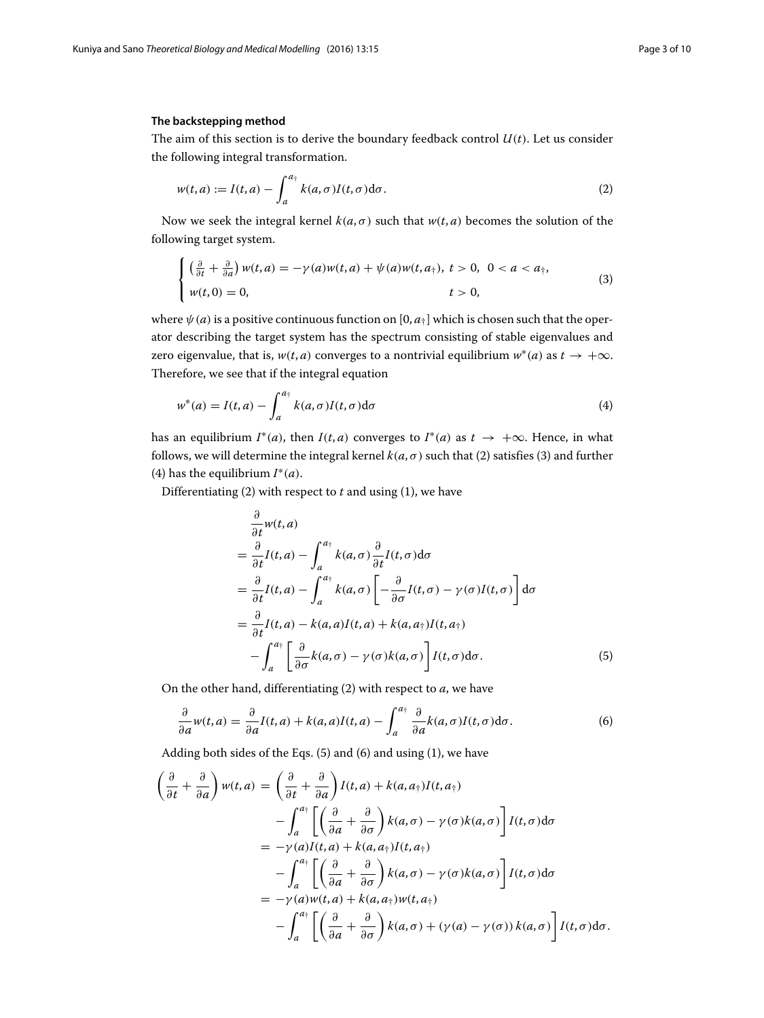#### **The backstepping method**

The aim of this section is to derive the boundary feedback control  $U(t)$ . Let us consider the following integral transformation.

<span id="page-2-0"></span>
$$
w(t,a) := I(t,a) - \int_{a}^{a_{\dagger}} k(a,\sigma)I(t,\sigma)d\sigma.
$$
 (2)

Now we seek the integral kernel  $k(a, \sigma)$  such that  $w(t, a)$  becomes the solution of the following target system.

<span id="page-2-1"></span>
$$
\begin{cases} \left(\frac{\partial}{\partial t} + \frac{\partial}{\partial a}\right)w(t,a) = -\gamma(a)w(t,a) + \psi(a)w(t,a_{\uparrow}), \ t > 0, \ 0 < a < a_{\uparrow}, \\ w(t,0) = 0, \qquad t > 0, \end{cases}
$$
\n(3)

where  $\psi(a)$  is a positive continuous function on [0,  $a_{\dagger}$ ] which is chosen such that the operator describing the target system has the spectrum consisting of stable eigenvalues and zero eigenvalue, that is,  $w(t, a)$  converges to a nontrivial equilibrium  $w^*(a)$  as  $t \to +\infty$ . Therefore, we see that if the integral equation

$$
w^*(a) = I(t,a) - \int_a^{a_\dagger} k(a,\sigma)I(t,\sigma)d\sigma
$$
\n(4)

has an equilibrium  $I^*(a)$ , then  $I(t, a)$  converges to  $I^*(a)$  as  $t \to +\infty$ . Hence, in what follows, we will determine the integral kernel  $k(a, \sigma)$  such that [\(2\)](#page-2-0) satisfies [\(3\)](#page-2-1) and further [\(4\)](#page-2-2) has the equilibrium  $I^*(a)$ .

Differentiating [\(2\)](#page-2-0) with respect to *t* and using [\(1\)](#page-1-0), we have

<span id="page-2-4"></span><span id="page-2-3"></span><span id="page-2-2"></span>
$$
\frac{\partial}{\partial t} w(t, a) \n= \frac{\partial}{\partial t} I(t, a) - \int_{a}^{a_{\dagger}} k(a, \sigma) \frac{\partial}{\partial t} I(t, \sigma) d\sigma \n= \frac{\partial}{\partial t} I(t, a) - \int_{a}^{a_{\dagger}} k(a, \sigma) \left[ -\frac{\partial}{\partial \sigma} I(t, \sigma) - \gamma(\sigma) I(t, \sigma) \right] d\sigma \n= \frac{\partial}{\partial t} I(t, a) - k(a, a) I(t, a) + k(a, a_{\dagger}) I(t, a_{\dagger}) \n- \int_{a}^{a_{\dagger}} \left[ \frac{\partial}{\partial \sigma} k(a, \sigma) - \gamma(\sigma) k(a, \sigma) \right] I(t, \sigma) d\sigma.
$$
\n(5)

On the other hand, differentiating [\(2\)](#page-2-0) with respect to *a*, we have

$$
\frac{\partial}{\partial a}w(t,a) = \frac{\partial}{\partial a}I(t,a) + k(a,a)I(t,a) - \int_{a}^{a_{\dagger}} \frac{\partial}{\partial a}k(a,\sigma)I(t,\sigma)d\sigma.
$$
 (6)

Adding both sides of the Eqs.  $(5)$  and  $(6)$  and using  $(1)$ , we have

<span id="page-2-5"></span>
$$
\begin{split}\n\left(\frac{\partial}{\partial t} + \frac{\partial}{\partial a}\right) w(t, a) &= \left(\frac{\partial}{\partial t} + \frac{\partial}{\partial a}\right) I(t, a) + k(a, a_{\dagger}) I(t, a_{\dagger}) \\
&\quad - \int_{a}^{a_{\dagger}} \left[ \left(\frac{\partial}{\partial a} + \frac{\partial}{\partial \sigma}\right) k(a, \sigma) - \gamma(\sigma) k(a, \sigma) \right] I(t, \sigma) d\sigma \\
&= -\gamma(a) I(t, a) + k(a, a_{\dagger}) I(t, a_{\dagger}) \\
&\quad - \int_{a}^{a_{\dagger}} \left[ \left(\frac{\partial}{\partial a} + \frac{\partial}{\partial \sigma}\right) k(a, \sigma) - \gamma(\sigma) k(a, \sigma) \right] I(t, \sigma) d\sigma \\
&= -\gamma(a) w(t, a) + k(a, a_{\dagger}) w(t, a_{\dagger}) \\
&\quad - \int_{a}^{a_{\dagger}} \left[ \left(\frac{\partial}{\partial a} + \frac{\partial}{\partial \sigma}\right) k(a, \sigma) + (\gamma(a) - \gamma(\sigma)) k(a, \sigma) \right] I(t, \sigma) d\sigma.\n\end{split}
$$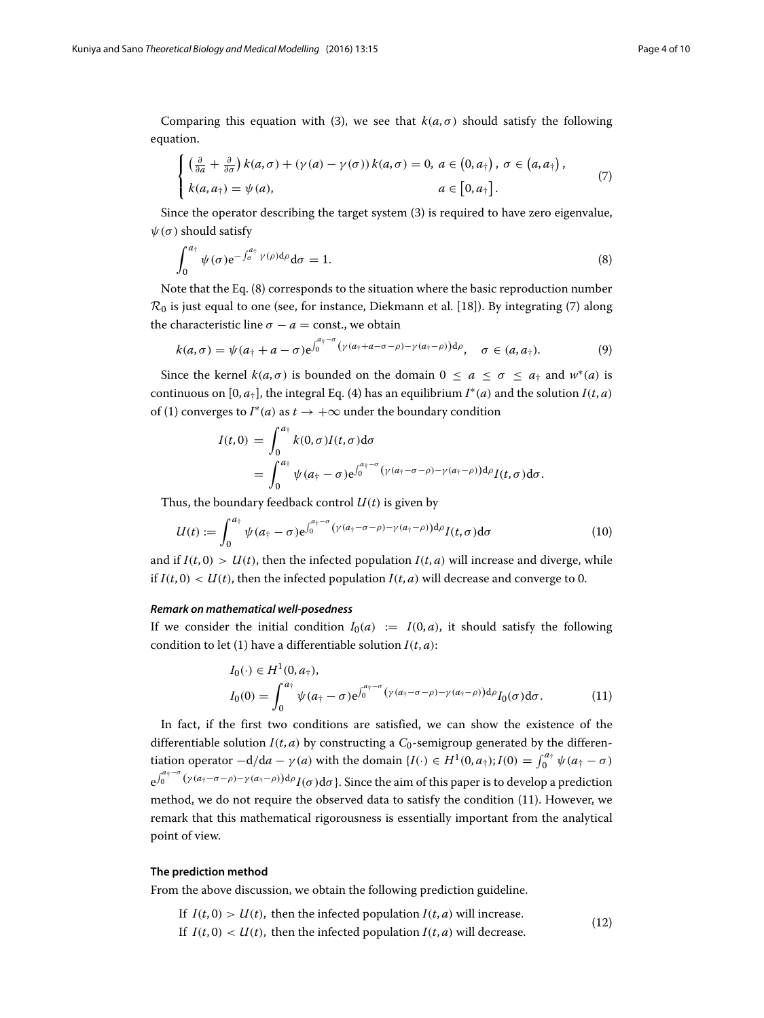Comparing this equation with [\(3\)](#page-2-1), we see that  $k(a, \sigma)$  should satisfy the following equation.

$$
\begin{cases} \left(\frac{\partial}{\partial a} + \frac{\partial}{\partial \sigma}\right) k(a, \sigma) + \left(\gamma(a) - \gamma(\sigma)\right) k(a, \sigma) = 0, \ a \in \left(0, a_{\dagger}\right), \ \sigma \in \left(a, a_{\dagger}\right), \\ k(a, a_{\dagger}) = \psi(a), & a \in \left[0, a_{\dagger}\right]. \end{cases} \tag{7}
$$

Since the operator describing the target system [\(3\)](#page-2-1) is required to have zero eigenvalue,  $\psi(\sigma)$  should satisfy

<span id="page-3-0"></span>
$$
\int_0^{a_{\dagger}} \psi(\sigma) e^{-\int_{\sigma}^{a_{\dagger}} \gamma(\rho) d\rho} d\sigma = 1.
$$
\n(8)

Note that the Eq. [\(8\)](#page-3-0) corresponds to the situation where the basic reproduction number  $\mathcal{R}_0$  is just equal to one (see, for instance, Diekmann et al. [\[18\]](#page-9-17)). By integrating [\(7\)](#page-2-5) along the characteristic line  $\sigma - a = \text{const.}$ , we obtain

$$
k(a,\sigma)=\psi(a_{\dagger}+a-\sigma)\mathrm{e}^{\int_0^{a_{\dagger}-\sigma}(\gamma(a_{\dagger}+a-\sigma-\rho)-\gamma(a_{\dagger}-\rho))d\rho},\quad\sigma\in(a,a_{\dagger}).
$$
\n(9)

Since the kernel  $k(a, \sigma)$  is bounded on the domain  $0 \le a \le \sigma \le a_{\dagger}$  and  $w^*(a)$  is continuous on  $[0, a_{\dagger}]$ , the integral Eq. [\(4\)](#page-2-2) has an equilibrium  $I^*(a)$  and the solution  $I(t, a)$ of [\(1\)](#page-1-0) converges to *I*<sup>\*</sup>(*a*) as  $t \to +\infty$  under the boundary condition

<span id="page-3-3"></span>
$$
I(t,0) = \int_0^{a_{\dagger}} k(0,\sigma)I(t,\sigma)d\sigma
$$
  
= 
$$
\int_0^{a_{\dagger}} \psi(a_{\dagger}-\sigma)e^{\int_0^{a_{\dagger}-\sigma} (\gamma(a_{\dagger}-\sigma-\rho)-\gamma(a_{\dagger}-\rho))d\rho}I(t,\sigma)d\sigma.
$$

Thus, the boundary feedback control *U*(*t*) is given by

$$
U(t) := \int_0^{a_\dagger} \psi(a_\dagger - \sigma) e^{\int_0^{a_\dagger - \sigma} (\gamma(a_\dagger - \sigma - \rho) - \gamma(a_\dagger - \rho)) d\rho} I(t, \sigma) d\sigma
$$
 (10)

and if  $I(t, 0) > U(t)$ , then the infected population  $I(t, a)$  will increase and diverge, while if  $I(t, 0) < U(t)$ , then the infected population  $I(t, a)$  will decrease and converge to 0.

### *Remark on mathematical well-posedness*

If we consider the initial condition  $I_0(a) := I(0, a)$ , it should satisfy the following condition to let [\(1\)](#page-1-0) have a differentiable solution *I*(*t*, *a*):

<span id="page-3-1"></span>
$$
I_0(\cdot) \in H^1(0, a_{\dagger}),
$$
  
\n
$$
I_0(0) = \int_0^{a_{\dagger}} \psi(a_{\dagger} - \sigma) e^{\int_0^{a_{\dagger} - \sigma} (\gamma(a_{\dagger} - \sigma - \rho) - \gamma(a_{\dagger} - \rho)) d\rho} I_0(\sigma) d\sigma.
$$
\n(11)

In fact, if the first two conditions are satisfied, we can show the existence of the differentiable solution  $I(t, a)$  by constructing a  $C_0$ -semigroup generated by the differentiation operator  $-d/da - \gamma(a)$  with the domain  $\{I(\cdot) \in H^1(0, a_{\dagger}); I(0) = \int_0^{a_{\dagger}} \psi(a_{\dagger} - \sigma)$  ${\rm e}^{\int_0^{a_+\,-\sigma} (\gamma(a_+\--\sigma-\rho)-\gamma(a_\dagger-\rho)) {\rm d}\rho}I(\sigma){\rm d}\sigma\}.$  Since the aim of this paper is to develop a prediction method, we do not require the observed data to satisfy the condition [\(11\)](#page-3-1). However, we remark that this mathematical rigorousness is essentially important from the analytical point of view.

### **The prediction method**

From the above discussion, we obtain the following prediction guideline.

- <span id="page-3-2"></span>If  $I(t, 0) > U(t)$ , then the infected population  $I(t, a)$  will increase.
- If  $I(t, 0) > U(t)$ , then the infected population  $I(t, a)$  will decrease. (12)<br>If  $I(t, 0) < U(t)$ , then the infected population  $I(t, a)$  will decrease.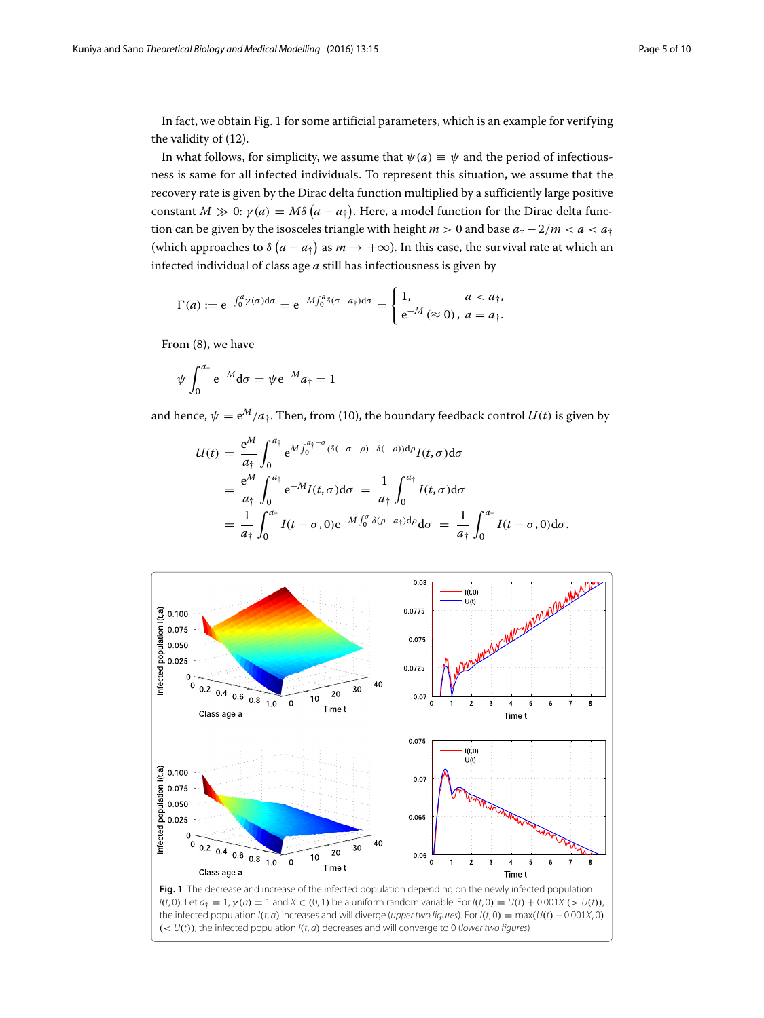In fact, we obtain Fig. [1](#page-4-0) for some artificial parameters, which is an example for verifying the validity of [\(12\)](#page-3-2).

In what follows, for simplicity, we assume that  $\psi(a) \equiv \psi$  and the period of infectiousness is same for all infected individuals. To represent this situation, we assume that the recovery rate is given by the Dirac delta function multiplied by a sufficiently large positive constant *M*  $\gg$  0:  $\gamma$  (*a*) = *M*δ (*a* − *a*<sub>†</sub>). Here, a model function for the Dirac delta function can be given by the isosceles triangle with height  $m > 0$  and base  $a<sub>†</sub> - 2/m < a < a<sub>†</sub>$ (which approaches to  $\delta(a - a_{\dagger})$  as  $m \to +\infty$ ). In this case, the survival rate at which an infected individual of class age *a* still has infectiousness is given by

$$
\Gamma(a) := e^{-\int_0^a \gamma(\sigma) d\sigma} = e^{-M \int_0^a \delta(\sigma - a_\dagger) d\sigma} = \begin{cases} 1, & a < a_\dagger, \\ e^{-M} (\approx 0), & a = a_\dagger. \end{cases}
$$

From [\(8\)](#page-3-0), we have

$$
\psi \int_0^{a_\dagger} e^{-M} d\sigma = \psi e^{-M} a_\dagger = 1
$$

and hence,  $\psi = e^M/a_f$ . Then, from [\(10\)](#page-3-3), the boundary feedback control  $U(t)$  is given by

$$
U(t) = \frac{e^M}{a_{\dagger}} \int_0^{a_{\dagger}} e^{M \int_0^{a_{\dagger}-\sigma} (\delta(-\sigma-\rho)-\delta(-\rho)) d\rho} I(t,\sigma) d\sigma
$$
  
= 
$$
\frac{e^M}{a_{\dagger}} \int_0^{a_{\dagger}} e^{-M} I(t,\sigma) d\sigma = \frac{1}{a_{\dagger}} \int_0^{a_{\dagger}} I(t,\sigma) d\sigma
$$
  
= 
$$
\frac{1}{a_{\dagger}} \int_0^{a_{\dagger}} I(t-\sigma,0) e^{-M \int_0^{\sigma} \delta(\rho-a_{\dagger}) d\rho} d\sigma = \frac{1}{a_{\dagger}} \int_0^{a_{\dagger}} I(t-\sigma,0) d\sigma.
$$

<span id="page-4-0"></span>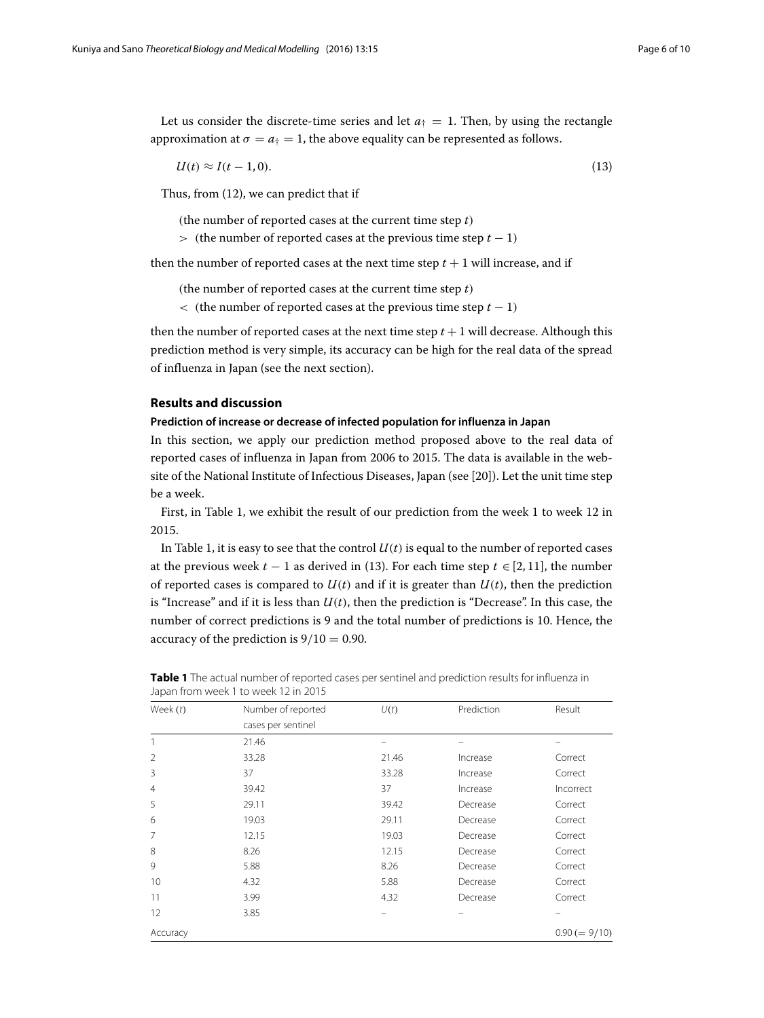Let us consider the discrete-time series and let  $a_{\dagger} = 1$ . Then, by using the rectangle approximation at  $\sigma = a_{\dagger} = 1$ , the above equality can be represented as follows.

<span id="page-5-1"></span>
$$
U(t) \approx I(t-1,0). \tag{13}
$$

Thus, from [\(12\)](#page-3-2), we can predict that if

(the number of reported cases at the current time step *t*)

 $>$  (the number of reported cases at the previous time step  $t - 1$ )

then the number of reported cases at the next time step  $t + 1$  will increase, and if

(the number of reported cases at the current time step *t*)

< (the number of reported cases at the previous time step *t* − 1)

then the number of reported cases at the next time step  $t + 1$  will decrease. Although this prediction method is very simple, its accuracy can be high for the real data of the spread of influenza in Japan (see the next section).

## **Results and discussion**

### **Prediction of increase or decrease of infected population for influenza in Japan**

In this section, we apply our prediction method proposed above to the real data of reported cases of influenza in Japan from 2006 to 2015. The data is available in the website of the National Institute of Infectious Diseases, Japan (see [\[20\]](#page-9-19)). Let the unit time step be a week.

First, in Table [1,](#page-5-0) we exhibit the result of our prediction from the week 1 to week 12 in 2015.

In Table [1,](#page-5-0) it is easy to see that the control  $U(t)$  is equal to the number of reported cases at the previous week  $t - 1$  as derived in [\(13\)](#page-5-1). For each time step  $t \in [2, 11]$ , the number of reported cases is compared to  $U(t)$  and if it is greater than  $U(t)$ , then the prediction is "Increase" and if it is less than *U*(*t*), then the prediction is "Decrease". In this case, the number of correct predictions is 9 and the total number of predictions is 10. Hence, the accuracy of the prediction is  $9/10 = 0.90$ .

| Week $(t)$     | Number of reported | U(t)  | Prediction | Result          |
|----------------|--------------------|-------|------------|-----------------|
|                | cases per sentinel |       |            |                 |
|                | 21.46              |       |            |                 |
| $\overline{2}$ | 33.28              | 21.46 | Increase   | Correct         |
| 3              | 37                 | 33.28 | Increase   | Correct         |
| $\overline{4}$ | 39.42              | 37    | Increase   | Incorrect       |
| 5              | 29.11              | 39.42 | Decrease   | Correct         |
| 6              | 19.03              | 29.11 | Decrease   | Correct         |
| 7              | 12.15              | 19.03 | Decrease   | Correct         |
| 8              | 8.26               | 12.15 | Decrease   | Correct         |
| 9              | 5.88               | 8.26  | Decrease   | Correct         |
| 10             | 4.32               | 5.88  | Decrease   | Correct         |
| 11             | 3.99               | 4.32  | Decrease   | Correct         |
| 12             | 3.85               |       |            |                 |
| Accuracy       |                    |       |            | $0.90 (= 9/10)$ |

<span id="page-5-0"></span>**Table 1** The actual number of reported cases per sentinel and prediction results for influenza in Japan from week 1 to week 12 in 2015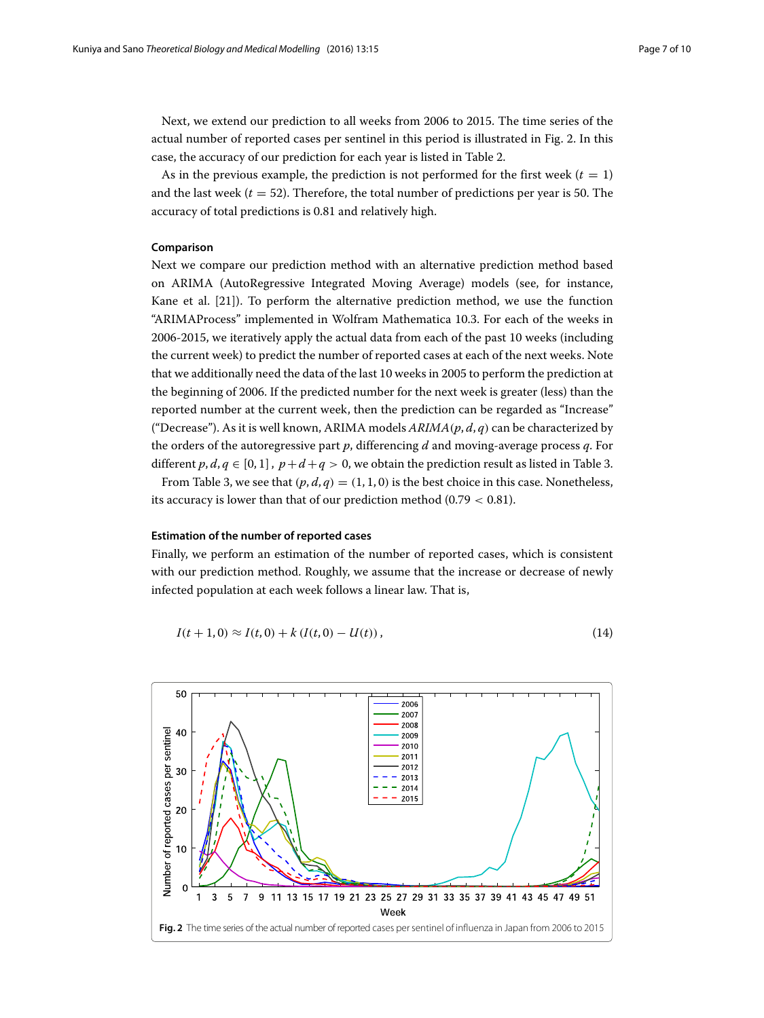Next, we extend our prediction to all weeks from 2006 to 2015. The time series of the actual number of reported cases per sentinel in this period is illustrated in Fig. [2.](#page-6-0) In this case, the accuracy of our prediction for each year is listed in Table [2.](#page-7-0)

As in the previous example, the prediction is not performed for the first week  $(t = 1)$ and the last week  $(t = 52)$ . Therefore, the total number of predictions per year is 50. The accuracy of total predictions is 0.81 and relatively high.

#### **Comparison**

Next we compare our prediction method with an alternative prediction method based on ARIMA (AutoRegressive Integrated Moving Average) models (see, for instance, Kane et al. [\[21\]](#page-9-20)). To perform the alternative prediction method, we use the function "ARIMAProcess" implemented in Wolfram Mathematica 10.3. For each of the weeks in 2006-2015, we iteratively apply the actual data from each of the past 10 weeks (including the current week) to predict the number of reported cases at each of the next weeks. Note that we additionally need the data of the last 10 weeks in 2005 to perform the prediction at the beginning of 2006. If the predicted number for the next week is greater (less) than the reported number at the current week, then the prediction can be regarded as "Increase" ("Decrease"). As it is well known, ARIMA models  $ARIMA(p, d, q)$  can be characterized by the orders of the autoregressive part *p*, differencing *d* and moving-average process *q*. For different *p*,  $d, q \in [0, 1]$ ,  $p+d+q>0$ , we obtain the prediction result as listed in Table [3.](#page-7-1)

From Table [3,](#page-7-1) we see that  $(p, d, q) = (1, 1, 0)$  is the best choice in this case. Nonetheless, its accuracy is lower than that of our prediction method (0.79 < 0.81).

#### **Estimation of the number of reported cases**

Finally, we perform an estimation of the number of reported cases, which is consistent with our prediction method. Roughly, we assume that the increase or decrease of newly infected population at each week follows a linear law. That is,

<span id="page-6-1"></span>
$$
I(t+1,0) \approx I(t,0) + k(I(t,0) - U(t)),
$$
\n(14)

<span id="page-6-0"></span>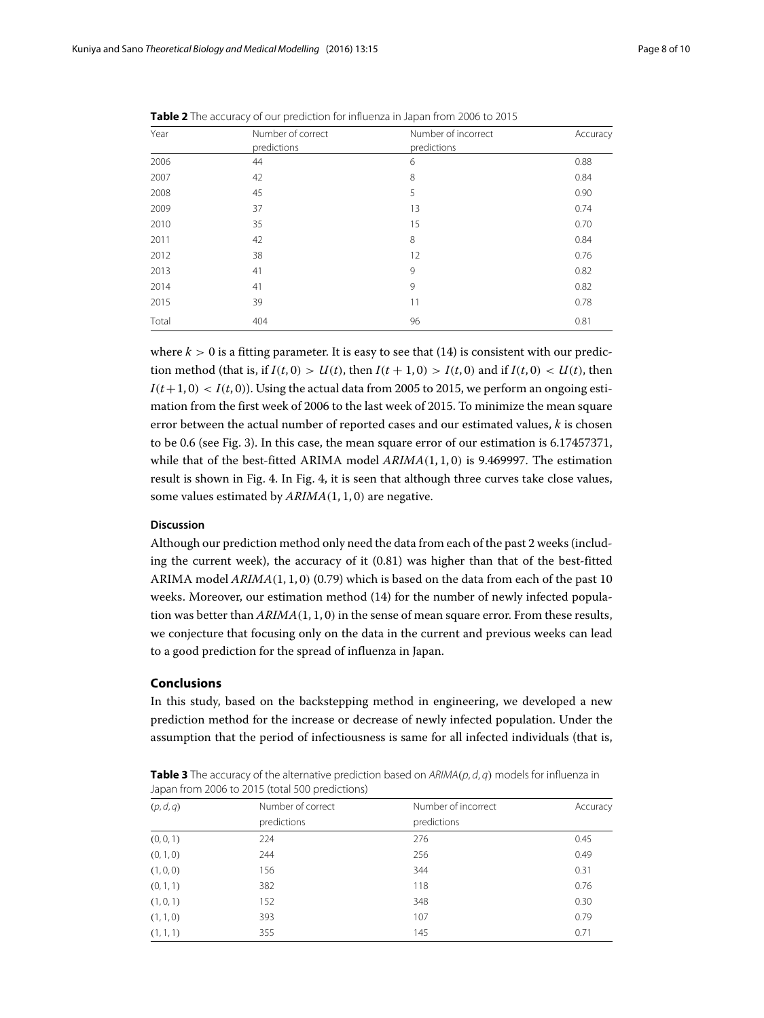<span id="page-7-0"></span>

| Year  | Number of correct<br>predictions | Number of incorrect<br>predictions | Accuracy |
|-------|----------------------------------|------------------------------------|----------|
| 2006  | 44                               | 6                                  | 0.88     |
| 2007  | 42                               | 8                                  | 0.84     |
| 2008  | 45                               | 5                                  | 0.90     |
| 2009  | 37                               | 13                                 | 0.74     |
| 2010  | 35                               | 15                                 | 0.70     |
| 2011  | 42                               | 8                                  | 0.84     |
| 2012  | 38                               | 12                                 | 0.76     |
| 2013  | 41                               | 9                                  | 0.82     |
| 2014  | 41                               | 9                                  | 0.82     |
| 2015  | 39                               | 11                                 | 0.78     |
| Total | 404                              | 96                                 | 0.81     |

**Table 2** The accuracy of our prediction for influenza in Japan from 2006 to 2015

where  $k > 0$  is a fitting parameter. It is easy to see that [\(14\)](#page-6-1) is consistent with our prediction method (that is, if  $I(t, 0) > U(t)$ , then  $I(t + 1, 0) > I(t, 0)$  and if  $I(t, 0) < U(t)$ , then  $I(t+1,0) < I(t,0)$ . Using the actual data from 2005 to 2015, we perform an ongoing estimation from the first week of 2006 to the last week of 2015. To minimize the mean square error between the actual number of reported cases and our estimated values, *k* is chosen to be 0.6 (see Fig. [3\)](#page-8-0). In this case, the mean square error of our estimation is 6.17457371, while that of the best-fitted ARIMA model *ARIMA*(1, 1, 0) is 9.469997. The estimation result is shown in Fig. [4.](#page-8-1) In Fig. [4,](#page-8-1) it is seen that although three curves take close values, some values estimated by *ARIMA*(1, 1, 0) are negative.

### **Discussion**

Although our prediction method only need the data from each of the past 2 weeks (including the current week), the accuracy of it (0.81) was higher than that of the best-fitted ARIMA model *ARIMA*(1, 1, 0) (0.79) which is based on the data from each of the past 10 weeks. Moreover, our estimation method [\(14\)](#page-6-1) for the number of newly infected population was better than *ARIMA*(1, 1, 0) in the sense of mean square error. From these results, we conjecture that focusing only on the data in the current and previous weeks can lead to a good prediction for the spread of influenza in Japan.

### **Conclusions**

In this study, based on the backstepping method in engineering, we developed a new prediction method for the increase or decrease of newly infected population. Under the assumption that the period of infectiousness is same for all infected individuals (that is,

| (p,d,q)   | Number of correct | Number of incorrect | Accuracy |
|-----------|-------------------|---------------------|----------|
|           | predictions       | predictions         |          |
| (0, 0, 1) | 224               | 276                 | 0.45     |
| (0, 1, 0) | 244               | 256                 | 0.49     |
| (1, 0, 0) | 156               | 344                 | 0.31     |
| (0, 1, 1) | 382               | 118                 | 0.76     |
| (1, 0, 1) | 152               | 348                 | 0.30     |
| (1, 1, 0) | 393               | 107                 | 0.79     |
| (1, 1, 1) | 355               | 145                 | 0.71     |

<span id="page-7-1"></span>**Table 3** The accuracy of the alternative prediction based on ARIMA(p, d, a) models for influenza in Japan from 2006 to 2015 (total 500 predictions)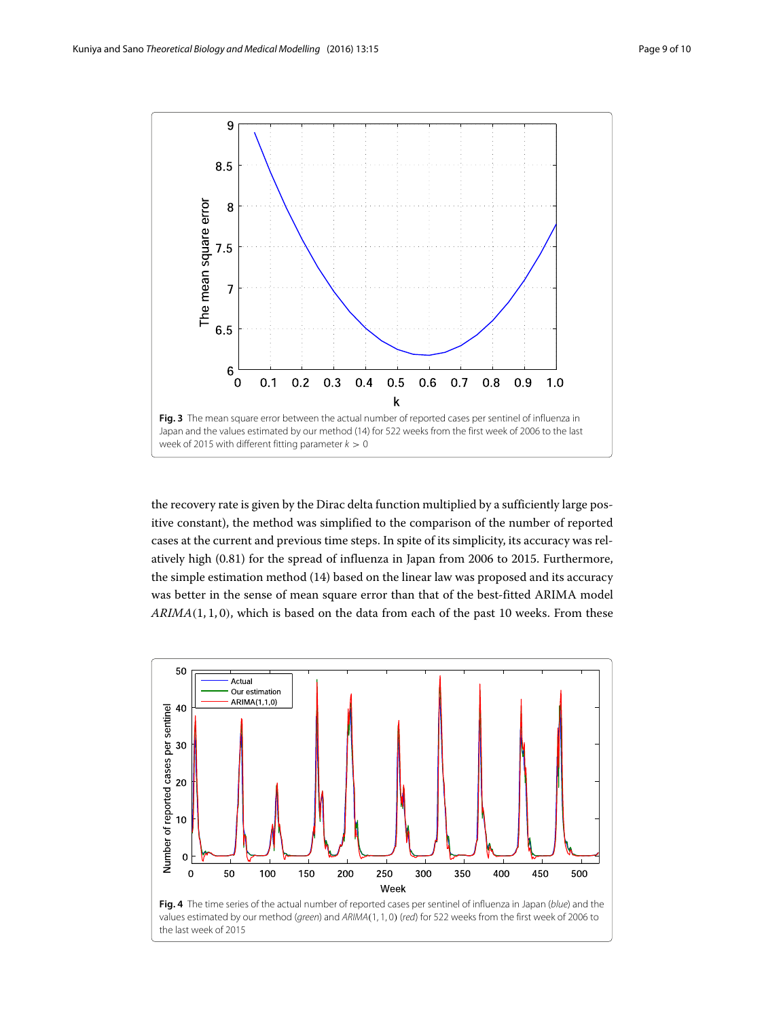

<span id="page-8-0"></span>the recovery rate is given by the Dirac delta function multiplied by a sufficiently large positive constant), the method was simplified to the comparison of the number of reported cases at the current and previous time steps. In spite of its simplicity, its accuracy was relatively high (0.81) for the spread of influenza in Japan from 2006 to 2015. Furthermore, the simple estimation method [\(14\)](#page-6-1) based on the linear law was proposed and its accuracy was better in the sense of mean square error than that of the best-fitted ARIMA model *ARIMA*(1, 1, 0), which is based on the data from each of the past 10 weeks. From these

<span id="page-8-1"></span>